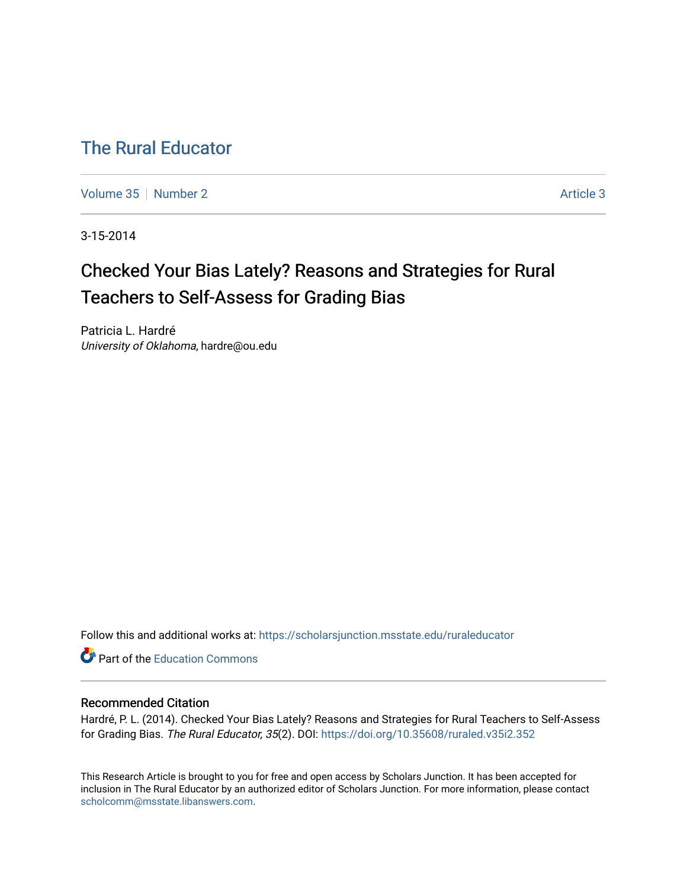## [The Rural Educator](https://scholarsjunction.msstate.edu/ruraleducator)

[Volume 35](https://scholarsjunction.msstate.edu/ruraleducator/vol35) [Number 2](https://scholarsjunction.msstate.edu/ruraleducator/vol35/iss2) Article 3

3-15-2014

# Checked Your Bias Lately? Reasons and Strategies for Rural Teachers to Self-Assess for Grading Bias

Patricia L. Hardré University of Oklahoma, hardre@ou.edu

Follow this and additional works at: [https://scholarsjunction.msstate.edu/ruraleducator](https://scholarsjunction.msstate.edu/ruraleducator?utm_source=scholarsjunction.msstate.edu%2Fruraleducator%2Fvol35%2Fiss2%2F3&utm_medium=PDF&utm_campaign=PDFCoverPages)

Part of the [Education Commons](http://network.bepress.com/hgg/discipline/784?utm_source=scholarsjunction.msstate.edu%2Fruraleducator%2Fvol35%2Fiss2%2F3&utm_medium=PDF&utm_campaign=PDFCoverPages)

## Recommended Citation

Hardré, P. L. (2014). Checked Your Bias Lately? Reasons and Strategies for Rural Teachers to Self-Assess for Grading Bias. The Rural Educator, 35(2). DOI:<https://doi.org/10.35608/ruraled.v35i2.352>

This Research Article is brought to you for free and open access by Scholars Junction. It has been accepted for inclusion in The Rural Educator by an authorized editor of Scholars Junction. For more information, please contact [scholcomm@msstate.libanswers.com.](mailto:scholcomm@msstate.libanswers.com)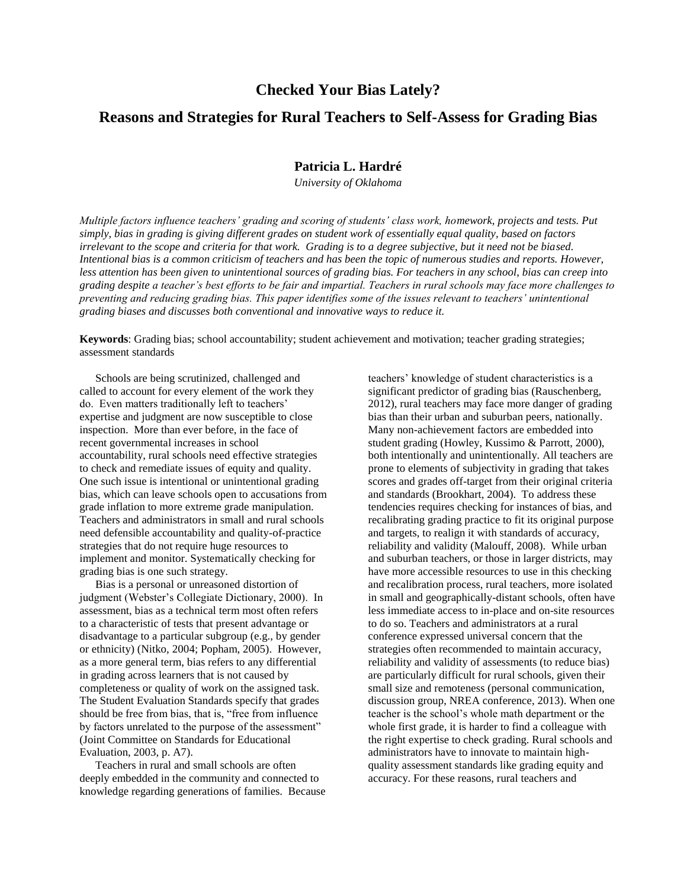## **Checked Your Bias Lately?**

## **Reasons and Strategies for Rural Teachers to Self-Assess for Grading Bias**

### **Patricia L. Hardré**

*University of Oklahoma*

*Multiple factors influence teachers' grading and scoring of students' class work, homework, projects and tests. Put simply, bias in grading is giving different grades on student work of essentially equal quality, based on factors irrelevant to the scope and criteria for that work. Grading is to a degree subjective, but it need not be biased. Intentional bias is a common criticism of teachers and has been the topic of numerous studies and reports. However, less attention has been given to unintentional sources of grading bias. For teachers in any school, bias can creep into grading despite a teacher's best efforts to be fair and impartial. Teachers in rural schools may face more challenges to preventing and reducing grading bias. This paper identifies some of the issues relevant to teachers' unintentional grading biases and discusses both conventional and innovative ways to reduce it.* 

**Keywords**: Grading bias; school accountability; student achievement and motivation; teacher grading strategies; assessment standards

Schools are being scrutinized, challenged and called to account for every element of the work they do. Even matters traditionally left to teachers' expertise and judgment are now susceptible to close inspection. More than ever before, in the face of recent governmental increases in school accountability, rural schools need effective strategies to check and remediate issues of equity and quality. One such issue is intentional or unintentional grading bias, which can leave schools open to accusations from grade inflation to more extreme grade manipulation. Teachers and administrators in small and rural schools need defensible accountability and quality-of-practice strategies that do not require huge resources to implement and monitor. Systematically checking for grading bias is one such strategy.

Bias is a personal or unreasoned distortion of judgment (Webster's Collegiate Dictionary, 2000). In assessment, bias as a technical term most often refers to a characteristic of tests that present advantage or disadvantage to a particular subgroup (e.g., by gender or ethnicity) (Nitko, 2004; Popham, 2005). However, as a more general term, bias refers to any differential in grading across learners that is not caused by completeness or quality of work on the assigned task. The Student Evaluation Standards specify that grades should be free from bias, that is, "free from influence by factors unrelated to the purpose of the assessment" (Joint Committee on Standards for Educational Evaluation, 2003, p. A7).

Teachers in rural and small schools are often deeply embedded in the community and connected to knowledge regarding generations of families. Because

teachers' knowledge of student characteristics is a significant predictor of grading bias (Rauschenberg, 2012), rural teachers may face more danger of grading bias than their urban and suburban peers, nationally. Many non-achievement factors are embedded into student grading (Howley, Kussimo & Parrott, 2000), both intentionally and unintentionally. All teachers are prone to elements of subjectivity in grading that takes scores and grades off-target from their original criteria and standards (Brookhart, 2004). To address these tendencies requires checking for instances of bias, and recalibrating grading practice to fit its original purpose and targets, to realign it with standards of accuracy, reliability and validity (Malouff, 2008). While urban and suburban teachers, or those in larger districts, may have more accessible resources to use in this checking and recalibration process, rural teachers, more isolated in small and geographically-distant schools, often have less immediate access to in-place and on-site resources to do so. Teachers and administrators at a rural conference expressed universal concern that the strategies often recommended to maintain accuracy, reliability and validity of assessments (to reduce bias) are particularly difficult for rural schools, given their small size and remoteness (personal communication, discussion group, NREA conference, 2013). When one teacher is the school's whole math department or the whole first grade, it is harder to find a colleague with the right expertise to check grading. Rural schools and administrators have to innovate to maintain highquality assessment standards like grading equity and accuracy. For these reasons, rural teachers and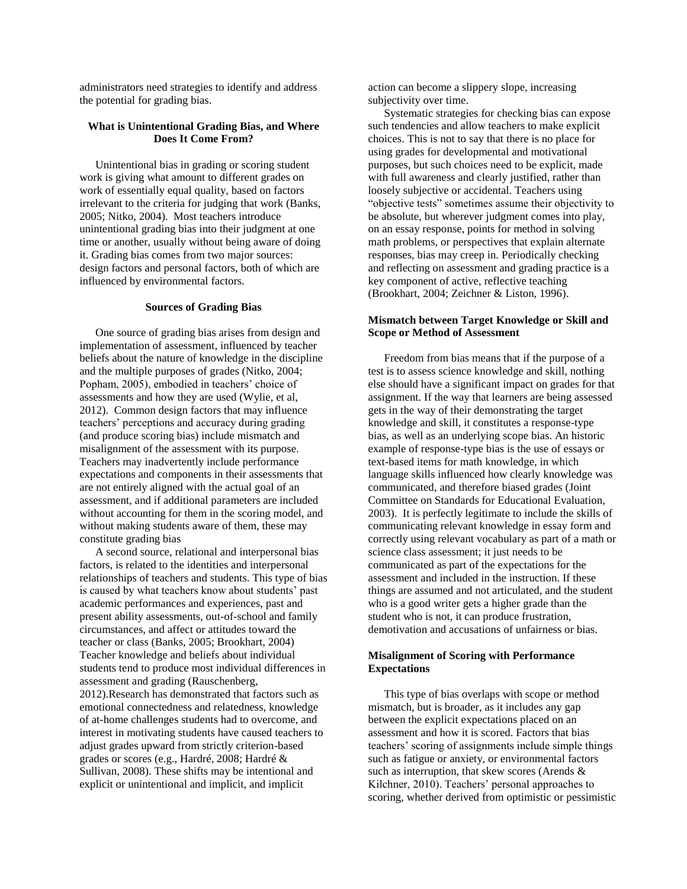administrators need strategies to identify and address the potential for grading bias.

#### **What is Unintentional Grading Bias, and Where Does It Come From?**

Unintentional bias in grading or scoring student work is giving what amount to different grades on work of essentially equal quality, based on factors irrelevant to the criteria for judging that work (Banks, 2005; Nitko, 2004). Most teachers introduce unintentional grading bias into their judgment at one time or another, usually without being aware of doing it. Grading bias comes from two major sources: design factors and personal factors, both of which are influenced by environmental factors.

#### **Sources of Grading Bias**

One source of grading bias arises from design and implementation of assessment, influenced by teacher beliefs about the nature of knowledge in the discipline and the multiple purposes of grades (Nitko, 2004; Popham, 2005), embodied in teachers' choice of assessments and how they are used (Wylie, et al, 2012). Common design factors that may influence teachers' perceptions and accuracy during grading (and produce scoring bias) include mismatch and misalignment of the assessment with its purpose. Teachers may inadvertently include performance expectations and components in their assessments that are not entirely aligned with the actual goal of an assessment, and if additional parameters are included without accounting for them in the scoring model, and without making students aware of them, these may constitute grading bias

A second source, relational and interpersonal bias factors, is related to the identities and interpersonal relationships of teachers and students. This type of bias is caused by what teachers know about students' past academic performances and experiences, past and present ability assessments, out-of-school and family circumstances, and affect or attitudes toward the teacher or class (Banks, 2005; Brookhart, 2004) Teacher knowledge and beliefs about individual students tend to produce most individual differences in assessment and grading (Rauschenberg, 2012).Research has demonstrated that factors such as emotional connectedness and relatedness, knowledge of at-home challenges students had to overcome, and interest in motivating students have caused teachers to adjust grades upward from strictly criterion-based grades or scores (e.g., Hardré, 2008; Hardré & Sullivan, 2008). These shifts may be intentional and explicit or unintentional and implicit, and implicit

action can become a slippery slope, increasing subjectivity over time.

Systematic strategies for checking bias can expose such tendencies and allow teachers to make explicit choices. This is not to say that there is no place for using grades for developmental and motivational purposes, but such choices need to be explicit, made with full awareness and clearly justified, rather than loosely subjective or accidental. Teachers using "objective tests" sometimes assume their objectivity to be absolute, but wherever judgment comes into play, on an essay response, points for method in solving math problems, or perspectives that explain alternate responses, bias may creep in. Periodically checking and reflecting on assessment and grading practice is a key component of active, reflective teaching (Brookhart, 2004; Zeichner & Liston, 1996).

#### **Mismatch between Target Knowledge or Skill and Scope or Method of Assessment**

Freedom from bias means that if the purpose of a test is to assess science knowledge and skill, nothing else should have a significant impact on grades for that assignment. If the way that learners are being assessed gets in the way of their demonstrating the target knowledge and skill, it constitutes a response-type bias, as well as an underlying scope bias. An historic example of response-type bias is the use of essays or text-based items for math knowledge, in which language skills influenced how clearly knowledge was communicated, and therefore biased grades (Joint Committee on Standards for Educational Evaluation, 2003). It is perfectly legitimate to include the skills of communicating relevant knowledge in essay form and correctly using relevant vocabulary as part of a math or science class assessment; it just needs to be communicated as part of the expectations for the assessment and included in the instruction. If these things are assumed and not articulated, and the student who is a good writer gets a higher grade than the student who is not, it can produce frustration, demotivation and accusations of unfairness or bias.

#### **Misalignment of Scoring with Performance Expectations**

This type of bias overlaps with scope or method mismatch, but is broader, as it includes any gap between the explicit expectations placed on an assessment and how it is scored. Factors that bias teachers' scoring of assignments include simple things such as fatigue or anxiety, or environmental factors such as interruption, that skew scores (Arends & Kilchner, 2010). Teachers' personal approaches to scoring, whether derived from optimistic or pessimistic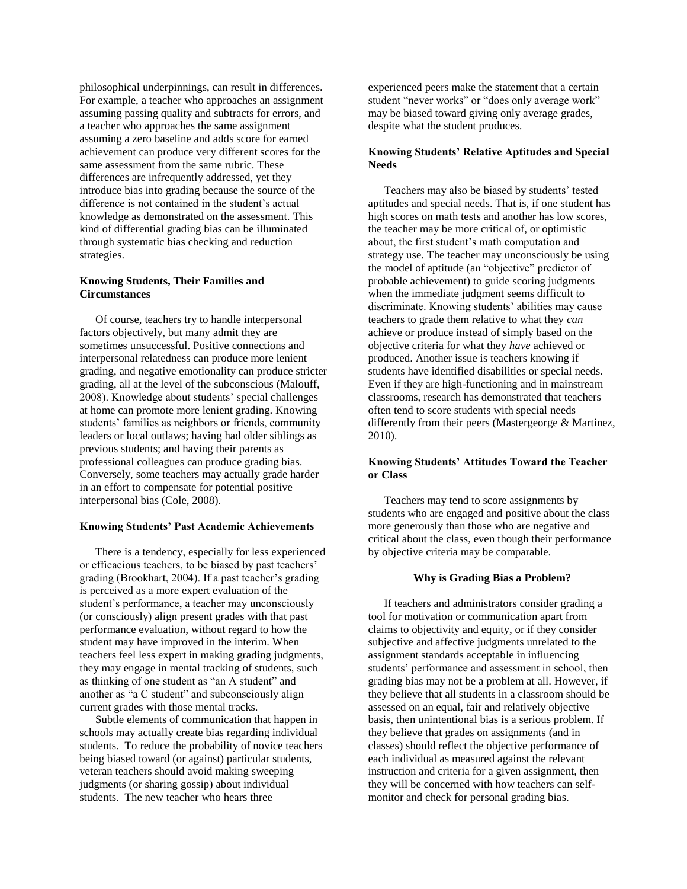philosophical underpinnings, can result in differences. For example, a teacher who approaches an assignment assuming passing quality and subtracts for errors, and a teacher who approaches the same assignment assuming a zero baseline and adds score for earned achievement can produce very different scores for the same assessment from the same rubric. These differences are infrequently addressed, yet they introduce bias into grading because the source of the difference is not contained in the student's actual knowledge as demonstrated on the assessment. This kind of differential grading bias can be illuminated through systematic bias checking and reduction strategies.

#### **Knowing Students, Their Families and Circumstances**

Of course, teachers try to handle interpersonal factors objectively, but many admit they are sometimes unsuccessful. Positive connections and interpersonal relatedness can produce more lenient grading, and negative emotionality can produce stricter grading, all at the level of the subconscious (Malouff, 2008). Knowledge about students' special challenges at home can promote more lenient grading. Knowing students' families as neighbors or friends, community leaders or local outlaws; having had older siblings as previous students; and having their parents as professional colleagues can produce grading bias. Conversely, some teachers may actually grade harder in an effort to compensate for potential positive interpersonal bias (Cole, 2008).

#### **Knowing Students' Past Academic Achievements**

There is a tendency, especially for less experienced or efficacious teachers, to be biased by past teachers' grading (Brookhart, 2004). If a past teacher's grading is perceived as a more expert evaluation of the student's performance, a teacher may unconsciously (or consciously) align present grades with that past performance evaluation, without regard to how the student may have improved in the interim. When teachers feel less expert in making grading judgments, they may engage in mental tracking of students, such as thinking of one student as "an A student" and another as "a C student" and subconsciously align current grades with those mental tracks.

Subtle elements of communication that happen in schools may actually create bias regarding individual students. To reduce the probability of novice teachers being biased toward (or against) particular students, veteran teachers should avoid making sweeping judgments (or sharing gossip) about individual students. The new teacher who hears three

experienced peers make the statement that a certain student "never works" or "does only average work" may be biased toward giving only average grades, despite what the student produces.

#### **Knowing Students' Relative Aptitudes and Special Needs**

Teachers may also be biased by students' tested aptitudes and special needs. That is, if one student has high scores on math tests and another has low scores, the teacher may be more critical of, or optimistic about, the first student's math computation and strategy use. The teacher may unconsciously be using the model of aptitude (an "objective" predictor of probable achievement) to guide scoring judgments when the immediate judgment seems difficult to discriminate. Knowing students' abilities may cause teachers to grade them relative to what they *can* achieve or produce instead of simply based on the objective criteria for what they *have* achieved or produced. Another issue is teachers knowing if students have identified disabilities or special needs. Even if they are high-functioning and in mainstream classrooms, research has demonstrated that teachers often tend to score students with special needs differently from their peers (Mastergeorge & Martinez, 2010).

#### **Knowing Students' Attitudes Toward the Teacher or Class**

Teachers may tend to score assignments by students who are engaged and positive about the class more generously than those who are negative and critical about the class, even though their performance by objective criteria may be comparable.

#### **Why is Grading Bias a Problem?**

If teachers and administrators consider grading a tool for motivation or communication apart from claims to objectivity and equity, or if they consider subjective and affective judgments unrelated to the assignment standards acceptable in influencing students' performance and assessment in school, then grading bias may not be a problem at all. However, if they believe that all students in a classroom should be assessed on an equal, fair and relatively objective basis, then unintentional bias is a serious problem. If they believe that grades on assignments (and in classes) should reflect the objective performance of each individual as measured against the relevant instruction and criteria for a given assignment, then they will be concerned with how teachers can selfmonitor and check for personal grading bias.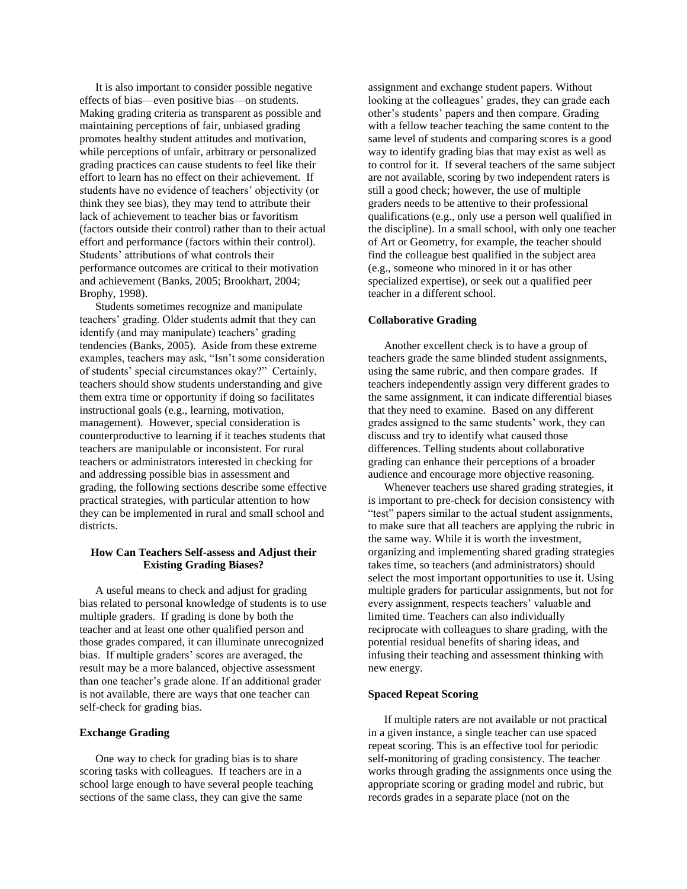It is also important to consider possible negative effects of bias—even positive bias—on students. Making grading criteria as transparent as possible and maintaining perceptions of fair, unbiased grading promotes healthy student attitudes and motivation, while perceptions of unfair, arbitrary or personalized grading practices can cause students to feel like their effort to learn has no effect on their achievement. If students have no evidence of teachers' objectivity (or think they see bias), they may tend to attribute their lack of achievement to teacher bias or favoritism (factors outside their control) rather than to their actual effort and performance (factors within their control). Students' attributions of what controls their performance outcomes are critical to their motivation and achievement (Banks, 2005; Brookhart, 2004; Brophy, 1998).

Students sometimes recognize and manipulate teachers' grading. Older students admit that they can identify (and may manipulate) teachers' grading tendencies (Banks, 2005). Aside from these extreme examples, teachers may ask, "Isn't some consideration of students' special circumstances okay?" Certainly, teachers should show students understanding and give them extra time or opportunity if doing so facilitates instructional goals (e.g., learning, motivation, management). However, special consideration is counterproductive to learning if it teaches students that teachers are manipulable or inconsistent. For rural teachers or administrators interested in checking for and addressing possible bias in assessment and grading, the following sections describe some effective practical strategies, with particular attention to how they can be implemented in rural and small school and districts.

#### **How Can Teachers Self-assess and Adjust their Existing Grading Biases?**

A useful means to check and adjust for grading bias related to personal knowledge of students is to use multiple graders. If grading is done by both the teacher and at least one other qualified person and those grades compared, it can illuminate unrecognized bias. If multiple graders' scores are averaged, the result may be a more balanced, objective assessment than one teacher's grade alone. If an additional grader is not available, there are ways that one teacher can self-check for grading bias.

#### **Exchange Grading**

One way to check for grading bias is to share scoring tasks with colleagues. If teachers are in a school large enough to have several people teaching sections of the same class, they can give the same

assignment and exchange student papers. Without looking at the colleagues' grades, they can grade each other's students' papers and then compare. Grading with a fellow teacher teaching the same content to the same level of students and comparing scores is a good way to identify grading bias that may exist as well as to control for it. If several teachers of the same subject are not available, scoring by two independent raters is still a good check; however, the use of multiple graders needs to be attentive to their professional qualifications (e.g., only use a person well qualified in the discipline). In a small school, with only one teacher of Art or Geometry, for example, the teacher should find the colleague best qualified in the subject area (e.g., someone who minored in it or has other specialized expertise), or seek out a qualified peer teacher in a different school.

#### **Collaborative Grading**

Another excellent check is to have a group of teachers grade the same blinded student assignments, using the same rubric, and then compare grades. If teachers independently assign very different grades to the same assignment, it can indicate differential biases that they need to examine. Based on any different grades assigned to the same students' work, they can discuss and try to identify what caused those differences. Telling students about collaborative grading can enhance their perceptions of a broader audience and encourage more objective reasoning.

Whenever teachers use shared grading strategies, it is important to pre-check for decision consistency with "test" papers similar to the actual student assignments, to make sure that all teachers are applying the rubric in the same way. While it is worth the investment, organizing and implementing shared grading strategies takes time, so teachers (and administrators) should select the most important opportunities to use it. Using multiple graders for particular assignments, but not for every assignment, respects teachers' valuable and limited time. Teachers can also individually reciprocate with colleagues to share grading, with the potential residual benefits of sharing ideas, and infusing their teaching and assessment thinking with new energy.

#### **Spaced Repeat Scoring**

If multiple raters are not available or not practical in a given instance, a single teacher can use spaced repeat scoring. This is an effective tool for periodic self-monitoring of grading consistency. The teacher works through grading the assignments once using the appropriate scoring or grading model and rubric, but records grades in a separate place (not on the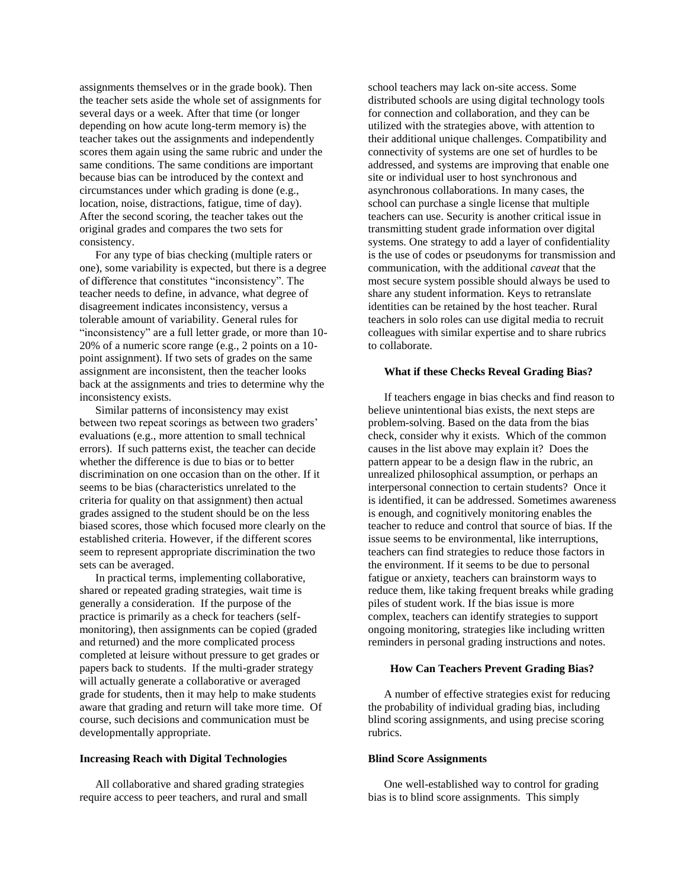assignments themselves or in the grade book). Then the teacher sets aside the whole set of assignments for several days or a week. After that time (or longer depending on how acute long-term memory is) the teacher takes out the assignments and independently scores them again using the same rubric and under the same conditions. The same conditions are important because bias can be introduced by the context and circumstances under which grading is done (e.g., location, noise, distractions, fatigue, time of day). After the second scoring, the teacher takes out the original grades and compares the two sets for consistency.

For any type of bias checking (multiple raters or one), some variability is expected, but there is a degree of difference that constitutes "inconsistency". The teacher needs to define, in advance, what degree of disagreement indicates inconsistency, versus a tolerable amount of variability. General rules for "inconsistency" are a full letter grade, or more than 10- 20% of a numeric score range (e.g., 2 points on a 10 point assignment). If two sets of grades on the same assignment are inconsistent, then the teacher looks back at the assignments and tries to determine why the inconsistency exists.

Similar patterns of inconsistency may exist between two repeat scorings as between two graders' evaluations (e.g., more attention to small technical errors). If such patterns exist, the teacher can decide whether the difference is due to bias or to better discrimination on one occasion than on the other. If it seems to be bias (characteristics unrelated to the criteria for quality on that assignment) then actual grades assigned to the student should be on the less biased scores, those which focused more clearly on the established criteria. However, if the different scores seem to represent appropriate discrimination the two sets can be averaged.

In practical terms, implementing collaborative, shared or repeated grading strategies, wait time is generally a consideration. If the purpose of the practice is primarily as a check for teachers (selfmonitoring), then assignments can be copied (graded and returned) and the more complicated process completed at leisure without pressure to get grades or papers back to students. If the multi-grader strategy will actually generate a collaborative or averaged grade for students, then it may help to make students aware that grading and return will take more time. Of course, such decisions and communication must be developmentally appropriate.

#### **Increasing Reach with Digital Technologies**

All collaborative and shared grading strategies require access to peer teachers, and rural and small

school teachers may lack on-site access. Some distributed schools are using digital technology tools for connection and collaboration, and they can be utilized with the strategies above, with attention to their additional unique challenges. Compatibility and connectivity of systems are one set of hurdles to be addressed, and systems are improving that enable one site or individual user to host synchronous and asynchronous collaborations. In many cases, the school can purchase a single license that multiple teachers can use. Security is another critical issue in transmitting student grade information over digital systems. One strategy to add a layer of confidentiality is the use of codes or pseudonyms for transmission and communication, with the additional *caveat* that the most secure system possible should always be used to share any student information. Keys to retranslate identities can be retained by the host teacher. Rural teachers in solo roles can use digital media to recruit colleagues with similar expertise and to share rubrics to collaborate.

#### **What if these Checks Reveal Grading Bias?**

If teachers engage in bias checks and find reason to believe unintentional bias exists, the next steps are problem-solving. Based on the data from the bias check, consider why it exists. Which of the common causes in the list above may explain it? Does the pattern appear to be a design flaw in the rubric, an unrealized philosophical assumption, or perhaps an interpersonal connection to certain students? Once it is identified, it can be addressed. Sometimes awareness is enough, and cognitively monitoring enables the teacher to reduce and control that source of bias. If the issue seems to be environmental, like interruptions, teachers can find strategies to reduce those factors in the environment. If it seems to be due to personal fatigue or anxiety, teachers can brainstorm ways to reduce them, like taking frequent breaks while grading piles of student work. If the bias issue is more complex, teachers can identify strategies to support ongoing monitoring, strategies like including written reminders in personal grading instructions and notes.

#### **How Can Teachers Prevent Grading Bias?**

A number of effective strategies exist for reducing the probability of individual grading bias, including blind scoring assignments, and using precise scoring rubrics.

#### **Blind Score Assignments**

One well-established way to control for grading bias is to blind score assignments. This simply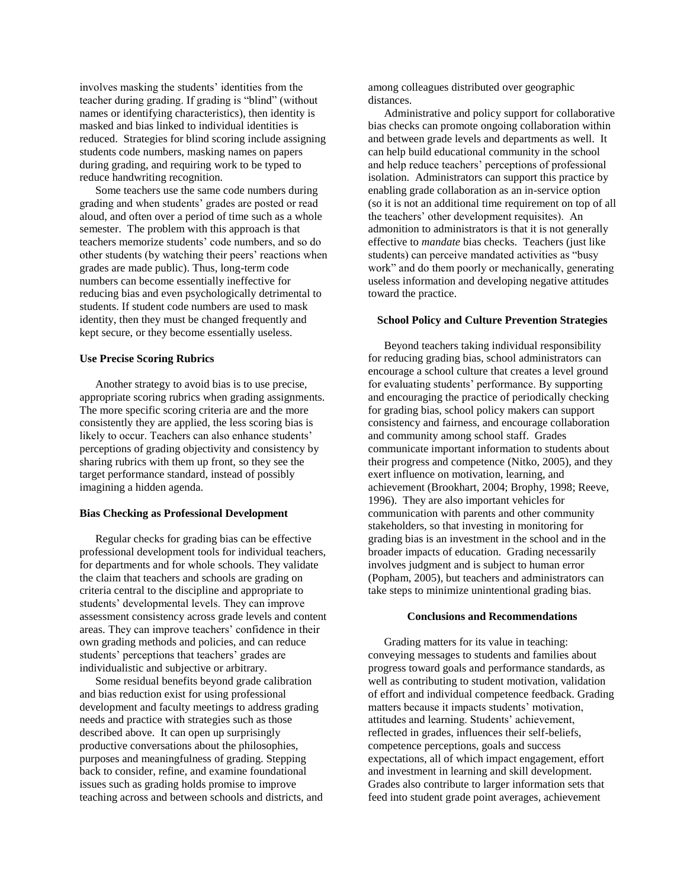involves masking the students' identities from the teacher during grading. If grading is "blind" (without names or identifying characteristics), then identity is masked and bias linked to individual identities is reduced. Strategies for blind scoring include assigning students code numbers, masking names on papers during grading, and requiring work to be typed to reduce handwriting recognition.

Some teachers use the same code numbers during grading and when students' grades are posted or read aloud, and often over a period of time such as a whole semester. The problem with this approach is that teachers memorize students' code numbers, and so do other students (by watching their peers' reactions when grades are made public). Thus, long-term code numbers can become essentially ineffective for reducing bias and even psychologically detrimental to students. If student code numbers are used to mask identity, then they must be changed frequently and kept secure, or they become essentially useless.

#### **Use Precise Scoring Rubrics**

Another strategy to avoid bias is to use precise, appropriate scoring rubrics when grading assignments. The more specific scoring criteria are and the more consistently they are applied, the less scoring bias is likely to occur. Teachers can also enhance students' perceptions of grading objectivity and consistency by sharing rubrics with them up front, so they see the target performance standard, instead of possibly imagining a hidden agenda.

#### **Bias Checking as Professional Development**

Regular checks for grading bias can be effective professional development tools for individual teachers, for departments and for whole schools. They validate the claim that teachers and schools are grading on criteria central to the discipline and appropriate to students' developmental levels. They can improve assessment consistency across grade levels and content areas. They can improve teachers' confidence in their own grading methods and policies, and can reduce students' perceptions that teachers' grades are individualistic and subjective or arbitrary.

Some residual benefits beyond grade calibration and bias reduction exist for using professional development and faculty meetings to address grading needs and practice with strategies such as those described above. It can open up surprisingly productive conversations about the philosophies, purposes and meaningfulness of grading. Stepping back to consider, refine, and examine foundational issues such as grading holds promise to improve teaching across and between schools and districts, and among colleagues distributed over geographic distances.

Administrative and policy support for collaborative bias checks can promote ongoing collaboration within and between grade levels and departments as well. It can help build educational community in the school and help reduce teachers' perceptions of professional isolation. Administrators can support this practice by enabling grade collaboration as an in-service option (so it is not an additional time requirement on top of all the teachers' other development requisites). An admonition to administrators is that it is not generally effective to *mandate* bias checks. Teachers (just like students) can perceive mandated activities as "busy work" and do them poorly or mechanically, generating useless information and developing negative attitudes toward the practice.

#### **School Policy and Culture Prevention Strategies**

Beyond teachers taking individual responsibility for reducing grading bias, school administrators can encourage a school culture that creates a level ground for evaluating students' performance. By supporting and encouraging the practice of periodically checking for grading bias, school policy makers can support consistency and fairness, and encourage collaboration and community among school staff. Grades communicate important information to students about their progress and competence (Nitko, 2005), and they exert influence on motivation, learning, and achievement (Brookhart, 2004; Brophy, 1998; Reeve, 1996). They are also important vehicles for communication with parents and other community stakeholders, so that investing in monitoring for grading bias is an investment in the school and in the broader impacts of education. Grading necessarily involves judgment and is subject to human error (Popham, 2005), but teachers and administrators can take steps to minimize unintentional grading bias.

#### **Conclusions and Recommendations**

Grading matters for its value in teaching: conveying messages to students and families about progress toward goals and performance standards, as well as contributing to student motivation, validation of effort and individual competence feedback. Grading matters because it impacts students' motivation, attitudes and learning. Students' achievement, reflected in grades, influences their self-beliefs, competence perceptions, goals and success expectations, all of which impact engagement, effort and investment in learning and skill development. Grades also contribute to larger information sets that feed into student grade point averages, achievement